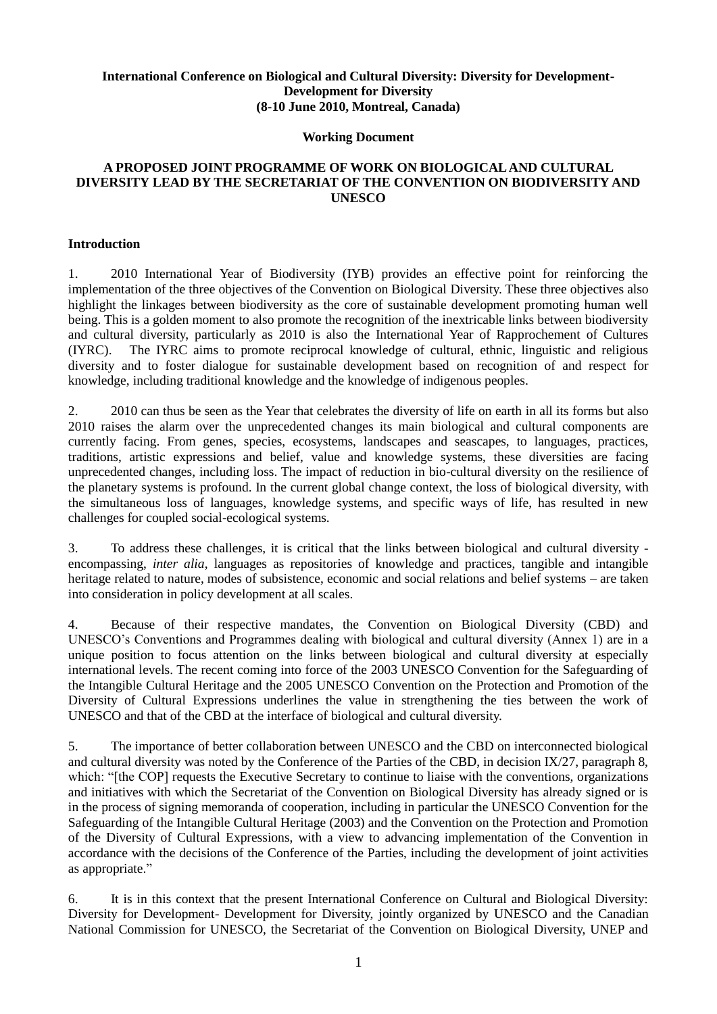### **International Conference on Biological and Cultural Diversity: Diversity for Development-Development for Diversity (8-10 June 2010, Montreal, Canada)**

#### **Working Document**

#### **A PROPOSED JOINT PROGRAMME OF WORK ON BIOLOGICAL AND CULTURAL DIVERSITY LEAD BY THE SECRETARIAT OF THE CONVENTION ON BIODIVERSITY AND UNESCO**

#### **Introduction**

1. 2010 International Year of Biodiversity (IYB) provides an effective point for reinforcing the implementation of the three objectives of the Convention on Biological Diversity. These three objectives also highlight the linkages between biodiversity as the core of sustainable development promoting human well being. This is a golden moment to also promote the recognition of the inextricable links between biodiversity and cultural diversity, particularly as 2010 is also the International Year of Rapprochement of Cultures (IYRC). The IYRC aims to promote reciprocal knowledge of cultural, ethnic, linguistic and religious diversity and to foster dialogue for sustainable development based on recognition of and respect for knowledge, including traditional knowledge and the knowledge of indigenous peoples.

2. 2010 can thus be seen as the Year that celebrates the diversity of life on earth in all its forms but also 2010 raises the alarm over the unprecedented changes its main biological and cultural components are currently facing. From genes, species, ecosystems, landscapes and seascapes, to languages, practices, traditions, artistic expressions and belief, value and knowledge systems, these diversities are facing unprecedented changes, including loss. The impact of reduction in bio-cultural diversity on the resilience of the planetary systems is profound. In the current global change context, the loss of biological diversity, with the simultaneous loss of languages, knowledge systems, and specific ways of life, has resulted in new challenges for coupled social-ecological systems.

3. To address these challenges, it is critical that the links between biological and cultural diversity encompassing, *inter alia*, languages as repositories of knowledge and practices, tangible and intangible heritage related to nature, modes of subsistence, economic and social relations and belief systems – are taken into consideration in policy development at all scales.

4. Because of their respective mandates, the Convention on Biological Diversity (CBD) and UNESCO's Conventions and Programmes dealing with biological and cultural diversity (Annex 1) are in a unique position to focus attention on the links between biological and cultural diversity at especially international levels. The recent coming into force of the 2003 UNESCO Convention for the Safeguarding of the Intangible Cultural Heritage and the 2005 UNESCO Convention on the Protection and Promotion of the Diversity of Cultural Expressions underlines the value in strengthening the ties between the work of UNESCO and that of the CBD at the interface of biological and cultural diversity.

5. The importance of better collaboration between UNESCO and the CBD on interconnected biological and cultural diversity was noted by the Conference of the Parties of the CBD, in decision IX/27, paragraph 8, which: "[the COP] requests the Executive Secretary to continue to liaise with the conventions, organizations and initiatives with which the Secretariat of the Convention on Biological Diversity has already signed or is in the process of signing memoranda of cooperation, including in particular the UNESCO Convention for the Safeguarding of the Intangible Cultural Heritage (2003) and the Convention on the Protection and Promotion of the Diversity of Cultural Expressions, with a view to advancing implementation of the Convention in accordance with the decisions of the Conference of the Parties, including the development of joint activities as appropriate."

6. It is in this context that the present International Conference on Cultural and Biological Diversity: Diversity for Development- Development for Diversity, jointly organized by UNESCO and the Canadian National Commission for UNESCO, the Secretariat of the Convention on Biological Diversity, UNEP and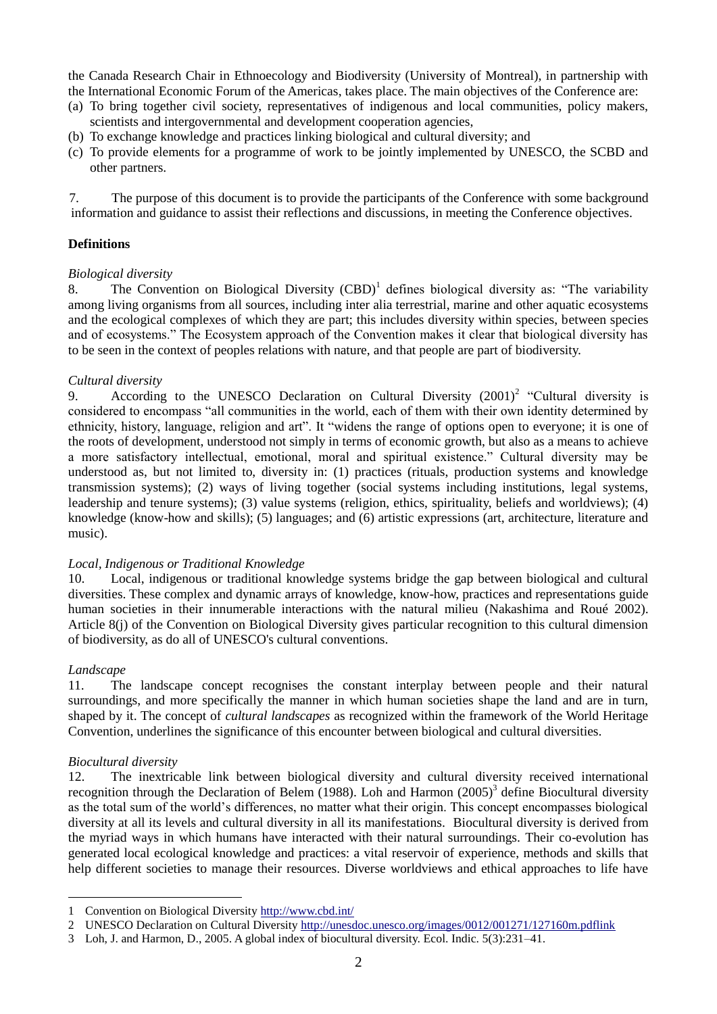the Canada Research Chair in Ethnoecology and Biodiversity (University of Montreal), in partnership with the International Economic Forum of the Americas, takes place. The main objectives of the Conference are:

- (a) To bring together civil society, representatives of indigenous and local communities, policy makers, scientists and intergovernmental and development cooperation agencies,
- (b) To exchange knowledge and practices linking biological and cultural diversity; and
- (c) To provide elements for a programme of work to be jointly implemented by UNESCO, the SCBD and other partners.

7. The purpose of this document is to provide the participants of the Conference with some background information and guidance to assist their reflections and discussions, in meeting the Conference objectives.

### **Definitions**

#### *Biological diversity*

8. The Convention on Biological Diversity (CBD)<sup>1</sup> defines biological diversity as: "The variability among living organisms from all sources, including inter alia terrestrial, marine and other aquatic ecosystems and the ecological complexes of which they are part; this includes diversity within species, between species and of ecosystems." The Ecosystem approach of the Convention makes it clear that biological diversity has to be seen in the context of peoples relations with nature, and that people are part of biodiversity.

#### *Cultural diversity*

9. According to the UNESCO Declaration on Cultural Diversity  $(2001)^2$  "Cultural diversity is considered to encompass "all communities in the world, each of them with their own identity determined by ethnicity, history, language, religion and art". It "widens the range of options open to everyone; it is one of the roots of development, understood not simply in terms of economic growth, but also as a means to achieve a more satisfactory intellectual, emotional, moral and spiritual existence." Cultural diversity may be understood as, but not limited to, diversity in: (1) practices (rituals, production systems and knowledge transmission systems); (2) ways of living together (social systems including institutions, legal systems, leadership and tenure systems); (3) value systems (religion, ethics, spirituality, beliefs and worldviews); (4) knowledge (know-how and skills); (5) languages; and (6) artistic expressions (art, architecture, literature and music).

#### *Local, Indigenous or Traditional Knowledge*

10. Local, indigenous or traditional knowledge systems bridge the gap between biological and cultural diversities. These complex and dynamic arrays of knowledge, know-how, practices and representations guide human societies in their innumerable interactions with the natural milieu (Nakashima and Roué 2002). Article 8(j) of the Convention on Biological Diversity gives particular recognition to this cultural dimension of biodiversity, as do all of UNESCO's cultural conventions.

#### *Landscape*

1

11. The landscape concept recognises the constant interplay between people and their natural surroundings, and more specifically the manner in which human societies shape the land and are in turn, shaped by it. The concept of *cultural landscapes* as recognized within the framework of the World Heritage Convention, underlines the significance of this encounter between biological and cultural diversities.

#### *Biocultural diversity*

12. The inextricable link between biological diversity and cultural diversity received international recognition through the Declaration of Belem (1988). Loh and Harmon  $(2005)^3$  define Biocultural diversity as the total sum of the world's differences, no matter what their origin. This concept encompasses biological diversity at all its levels and cultural diversity in all its manifestations. Biocultural diversity is derived from the myriad ways in which humans have interacted with their natural surroundings. Their co-evolution has generated local ecological knowledge and practices: a vital reservoir of experience, methods and skills that help different societies to manage their resources. Diverse worldviews and ethical approaches to life have

<sup>1</sup> Convention on Biological Diversity<http://www.cbd.int/>

<sup>2</sup> UNESCO Declaration on Cultural Diversity<http://unesdoc.unesco.org/images/0012/001271/127160m.pdflink>

<sup>3</sup> Loh, J. and Harmon, D., 2005. A global index of biocultural diversity. Ecol. Indic. 5(3):231–41.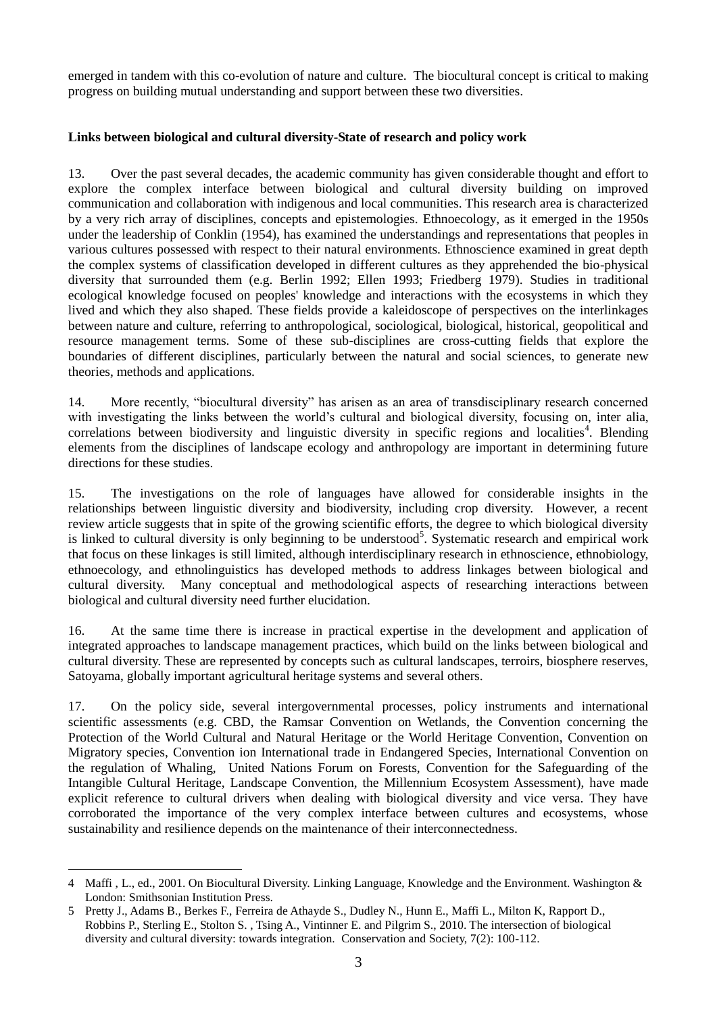emerged in tandem with this co-evolution of nature and culture. The biocultural concept is critical to making progress on building mutual understanding and support between these two diversities.

#### **Links between biological and cultural diversity-State of research and policy work**

13. Over the past several decades, the academic community has given considerable thought and effort to explore the complex interface between biological and cultural diversity building on improved communication and collaboration with indigenous and local communities. This research area is characterized by a very rich array of disciplines, concepts and epistemologies. Ethnoecology, as it emerged in the 1950s under the leadership of Conklin (1954), has examined the understandings and representations that peoples in various cultures possessed with respect to their natural environments. Ethnoscience examined in great depth the complex systems of classification developed in different cultures as they apprehended the bio-physical diversity that surrounded them (e.g. Berlin 1992; Ellen 1993; Friedberg 1979). Studies in traditional ecological knowledge focused on peoples' knowledge and interactions with the ecosystems in which they lived and which they also shaped. These fields provide a kaleidoscope of perspectives on the interlinkages between nature and culture, referring to anthropological, sociological, biological, historical, geopolitical and resource management terms. Some of these sub-disciplines are cross-cutting fields that explore the boundaries of different disciplines, particularly between the natural and social sciences, to generate new theories, methods and applications.

14. More recently, "biocultural diversity" has arisen as an area of transdisciplinary research concerned with investigating the links between the world's cultural and biological diversity, focusing on, inter alia, correlations between biodiversity and linguistic diversity in specific regions and localities<sup>4</sup>. Blending elements from the disciplines of landscape ecology and anthropology are important in determining future directions for these studies.

15. The investigations on the role of languages have allowed for considerable insights in the relationships between linguistic diversity and biodiversity, including crop diversity. However, a recent review article suggests that in spite of the growing scientific efforts, the degree to which biological diversity is linked to cultural diversity is only beginning to be understood<sup>5</sup>. Systematic research and empirical work that focus on these linkages is still limited, although interdisciplinary research in ethnoscience, ethnobiology, ethnoecology, and ethnolinguistics has developed methods to address linkages between biological and cultural diversity. Many conceptual and methodological aspects of researching interactions between biological and cultural diversity need further elucidation.

16. At the same time there is increase in practical expertise in the development and application of integrated approaches to landscape management practices, which build on the links between biological and cultural diversity. These are represented by concepts such as cultural landscapes, terroirs, biosphere reserves, Satoyama, globally important agricultural heritage systems and several others.

17. On the policy side, several intergovernmental processes, policy instruments and international scientific assessments (e.g. CBD, the Ramsar Convention on Wetlands, the Convention concerning the Protection of the World Cultural and Natural Heritage or the World Heritage Convention, Convention on Migratory species, Convention ion International trade in Endangered Species, International Convention on the regulation of Whaling, United Nations Forum on Forests, Convention for the Safeguarding of the Intangible Cultural Heritage, Landscape Convention, the Millennium Ecosystem Assessment), have made explicit reference to cultural drivers when dealing with biological diversity and vice versa. They have corroborated the importance of the very complex interface between cultures and ecosystems, whose sustainability and resilience depends on the maintenance of their interconnectedness.

<sup>&</sup>lt;u>.</u> 4 Maffi , L., ed., 2001. On Biocultural Diversity. Linking Language, Knowledge and the Environment. Washington & London: Smithsonian Institution Press.

<sup>5</sup> Pretty J., Adams B., Berkes F., Ferreira de Athayde S., Dudley N., Hunn E., Maffi L., Milton K, Rapport D., Robbins P., Sterling E., Stolton S. , Tsing A., Vintinner E. and Pilgrim S., 2010. The intersection of biological diversity and cultural diversity: towards integration. Conservation and Society, 7(2): 100-112.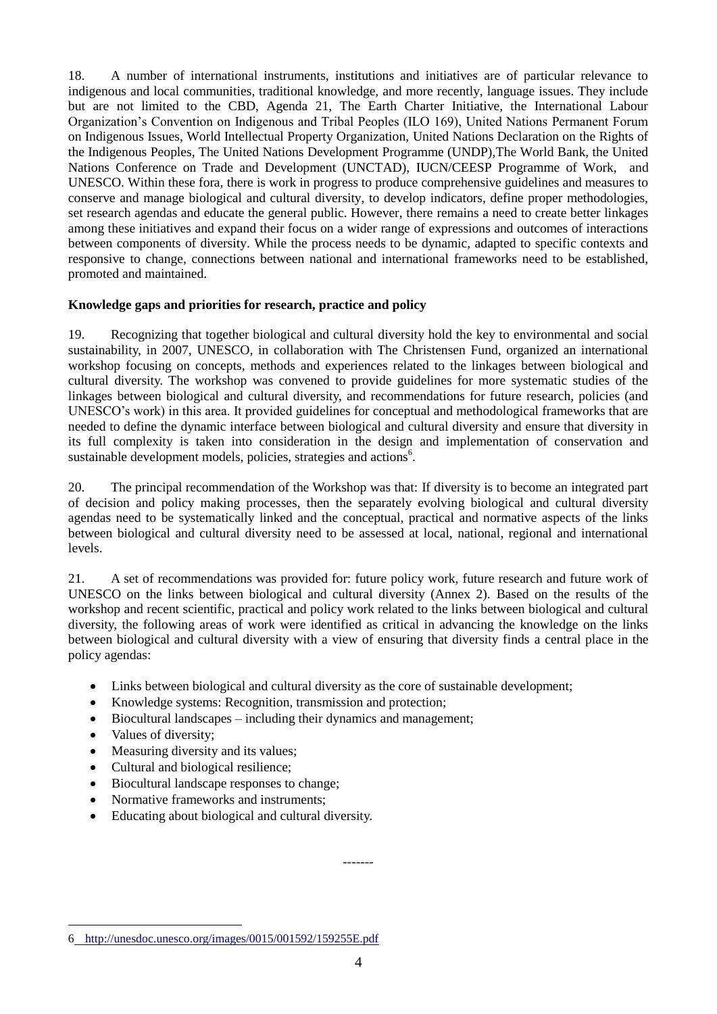18. A number of international instruments, institutions and initiatives are of particular relevance to indigenous and local communities, traditional knowledge, and more recently, language issues. They include but are not limited to the CBD, Agenda 21, The Earth Charter Initiative, the International Labour Organization's Convention on Indigenous and Tribal Peoples (ILO 169), United Nations Permanent Forum on Indigenous Issues, World Intellectual Property Organization, United Nations Declaration on the Rights of the Indigenous Peoples, The United Nations Development Programme (UNDP),The World Bank, the United Nations Conference on Trade and Development (UNCTAD), IUCN/CEESP Programme of Work, and UNESCO. Within these fora, there is work in progress to produce comprehensive guidelines and measures to conserve and manage biological and cultural diversity, to develop indicators, define proper methodologies, set research agendas and educate the general public. However, there remains a need to create better linkages among these initiatives and expand their focus on a wider range of expressions and outcomes of interactions between components of diversity. While the process needs to be dynamic, adapted to specific contexts and responsive to change, connections between national and international frameworks need to be established, promoted and maintained.

#### **Knowledge gaps and priorities for research, practice and policy**

19. Recognizing that together biological and cultural diversity hold the key to environmental and social sustainability, in 2007, UNESCO, in collaboration with The Christensen Fund, organized an international workshop focusing on concepts, methods and experiences related to the linkages between biological and cultural diversity. The workshop was convened to provide guidelines for more systematic studies of the linkages between biological and cultural diversity, and recommendations for future research, policies (and UNESCO's work) in this area. It provided guidelines for conceptual and methodological frameworks that are needed to define the dynamic interface between biological and cultural diversity and ensure that diversity in its full complexity is taken into consideration in the design and implementation of conservation and sustainable development models, policies, strategies and actions<sup>6</sup>.

20. The principal recommendation of the Workshop was that: If diversity is to become an integrated part of decision and policy making processes, then the separately evolving biological and cultural diversity agendas need to be systematically linked and the conceptual, practical and normative aspects of the links between biological and cultural diversity need to be assessed at local, national, regional and international levels.

21. A set of recommendations was provided for: future policy work, future research and future work of UNESCO on the links between biological and cultural diversity (Annex 2). Based on the results of the workshop and recent scientific, practical and policy work related to the links between biological and cultural diversity, the following areas of work were identified as critical in advancing the knowledge on the links between biological and cultural diversity with a view of ensuring that diversity finds a central place in the policy agendas:

- Links between biological and cultural diversity as the core of sustainable development;
- Knowledge systems: Recognition, transmission and protection;
- Biocultural landscapes including their dynamics and management;
- Values of diversity;

1

- Measuring diversity and its values;
- Cultural and biological resilience;
- Biocultural landscape responses to change;
- Normative frameworks and instruments;
- Educating about biological and cultural diversity.

-------

<sup>6</sup> <http://unesdoc.unesco.org/images/0015/001592/159255E.pdf>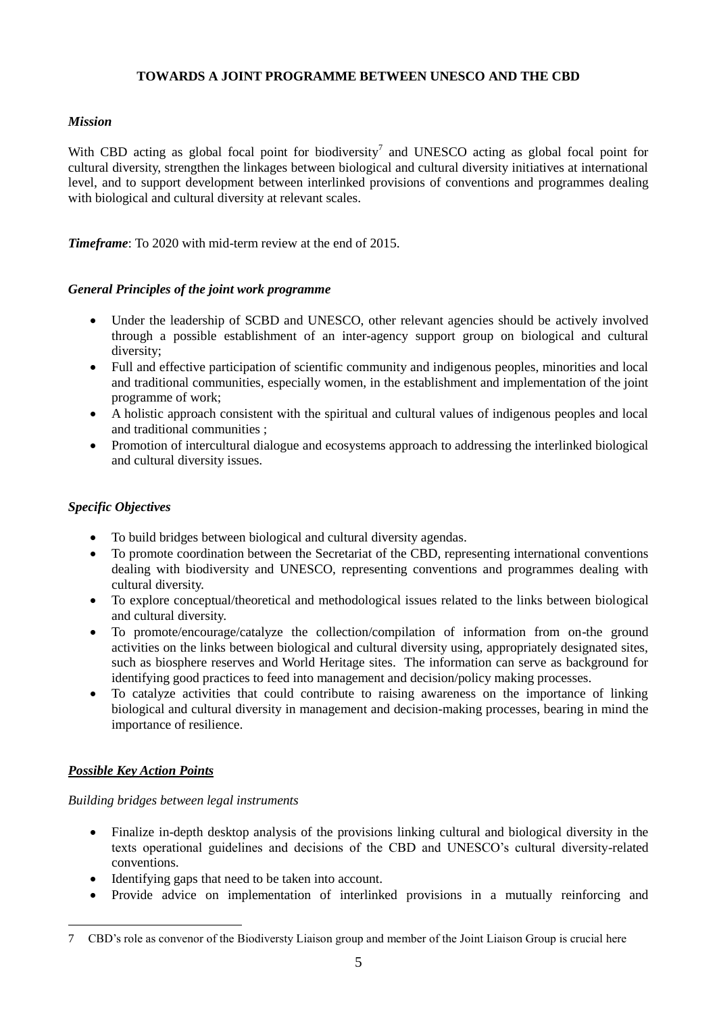### **TOWARDS A JOINT PROGRAMME BETWEEN UNESCO AND THE CBD**

### *Mission*

With CBD acting as global focal point for biodiversity<sup>7</sup> and UNESCO acting as global focal point for cultural diversity, strengthen the linkages between biological and cultural diversity initiatives at international level, and to support development between interlinked provisions of conventions and programmes dealing with biological and cultural diversity at relevant scales.

*Timeframe*: To 2020 with mid-term review at the end of 2015.

#### *General Principles of the joint work programme*

- Under the leadership of SCBD and UNESCO, other relevant agencies should be actively involved through a possible establishment of an inter-agency support group on biological and cultural diversity;
- Full and effective participation of scientific community and indigenous peoples, minorities and local and traditional communities, especially women, in the establishment and implementation of the joint programme of work;
- A holistic approach consistent with the spiritual and cultural values of indigenous peoples and local and traditional communities ;
- Promotion of intercultural dialogue and ecosystems approach to addressing the interlinked biological and cultural diversity issues.

## *Specific Objectives*

- To build bridges between biological and cultural diversity agendas.
- To promote coordination between the Secretariat of the CBD, representing international conventions dealing with biodiversity and UNESCO, representing conventions and programmes dealing with cultural diversity.
- To explore conceptual/theoretical and methodological issues related to the links between biological and cultural diversity.
- To promote/encourage/catalyze the collection/compilation of information from on-the ground activities on the links between biological and cultural diversity using, appropriately designated sites, such as biosphere reserves and World Heritage sites. The information can serve as background for identifying good practices to feed into management and decision/policy making processes.
- To catalyze activities that could contribute to raising awareness on the importance of linking biological and cultural diversity in management and decision-making processes, bearing in mind the importance of resilience.

## *Possible Key Action Points*

1

## *Building bridges between legal instruments*

- Finalize in-depth desktop analysis of the provisions linking cultural and biological diversity in the texts operational guidelines and decisions of the CBD and UNESCO's cultural diversity-related conventions.
- Identifying gaps that need to be taken into account.
- Provide advice on implementation of interlinked provisions in a mutually reinforcing and

<sup>7</sup> CBD's role as convenor of the Biodiversty Liaison group and member of the Joint Liaison Group is crucial here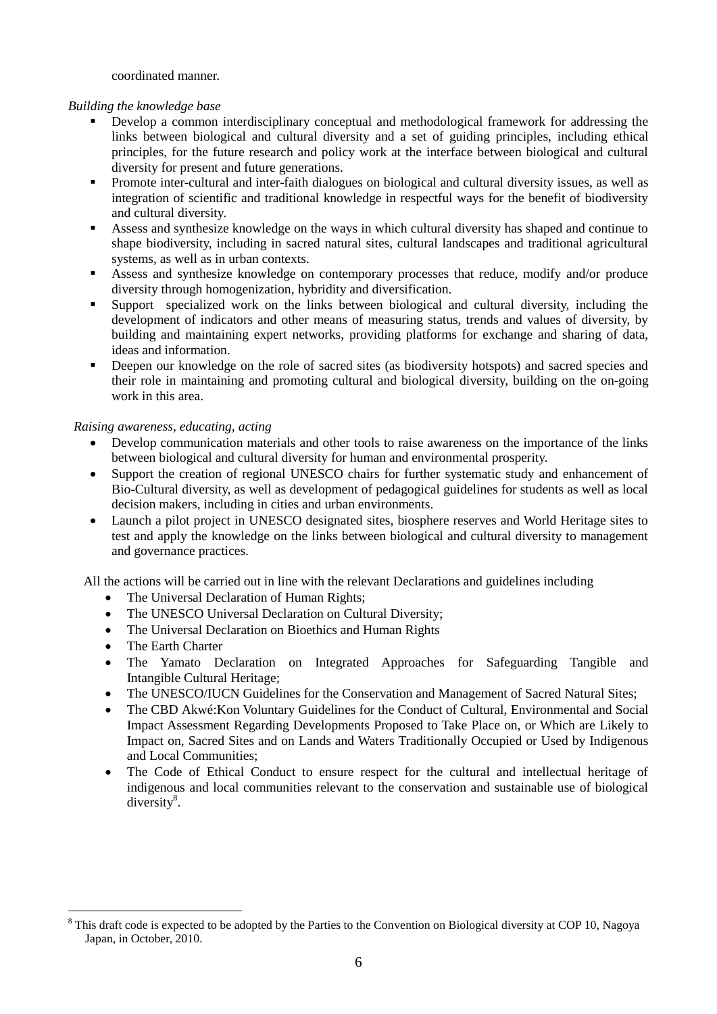coordinated manner.

#### *Building the knowledge base*

- Develop a common interdisciplinary conceptual and methodological framework for addressing the links between biological and cultural diversity and a set of guiding principles, including ethical principles, for the future research and policy work at the interface between biological and cultural diversity for present and future generations.
- Promote inter-cultural and inter-faith dialogues on biological and cultural diversity issues, as well as integration of scientific and traditional knowledge in respectful ways for the benefit of biodiversity and cultural diversity.
- Assess and synthesize knowledge on the ways in which cultural diversity has shaped and continue to shape biodiversity, including in sacred natural sites, cultural landscapes and traditional agricultural systems, as well as in urban contexts.
- Assess and synthesize knowledge on contemporary processes that reduce, modify and/or produce diversity through homogenization, hybridity and diversification.
- Support specialized work on the links between biological and cultural diversity, including the development of indicators and other means of measuring status, trends and values of diversity, by building and maintaining expert networks, providing platforms for exchange and sharing of data, ideas and information.
- Deepen our knowledge on the role of sacred sites (as biodiversity hotspots) and sacred species and their role in maintaining and promoting cultural and biological diversity, building on the on-going work in this area.

#### *Raising awareness, educating, acting*

- Develop communication materials and other tools to raise awareness on the importance of the links between biological and cultural diversity for human and environmental prosperity.
- Support the creation of regional UNESCO chairs for further systematic study and enhancement of Bio-Cultural diversity, as well as development of pedagogical guidelines for students as well as local decision makers, including in cities and urban environments.
- Launch a pilot project in UNESCO designated sites, biosphere reserves and World Heritage sites to test and apply the knowledge on the links between biological and cultural diversity to management and governance practices.

All the actions will be carried out in line with the relevant Declarations and guidelines including

- The Universal Declaration of Human Rights;
- The UNESCO Universal Declaration on Cultural Diversity;
- The Universal Declaration on Bioethics and Human Rights
- The Earth Charter

<u>.</u>

- The Yamato Declaration on Integrated Approaches for Safeguarding Tangible and Intangible Cultural Heritage;
- The UNESCO/IUCN Guidelines for the Conservation and Management of Sacred Natural Sites;
- The CBD Akwé:Kon Voluntary Guidelines for the Conduct of Cultural, Environmental and Social Impact Assessment Regarding Developments Proposed to Take Place on, or Which are Likely to Impact on, Sacred Sites and on Lands and Waters Traditionally Occupied or Used by Indigenous and Local Communities;
- The Code of Ethical Conduct to ensure respect for the cultural and intellectual heritage of indigenous and local communities relevant to the conservation and sustainable use of biological  $diversity<sup>8</sup>$ .

<sup>&</sup>lt;sup>8</sup> This draft code is expected to be adopted by the Parties to the Convention on Biological diversity at COP 10, Nagoya Japan, in October, 2010.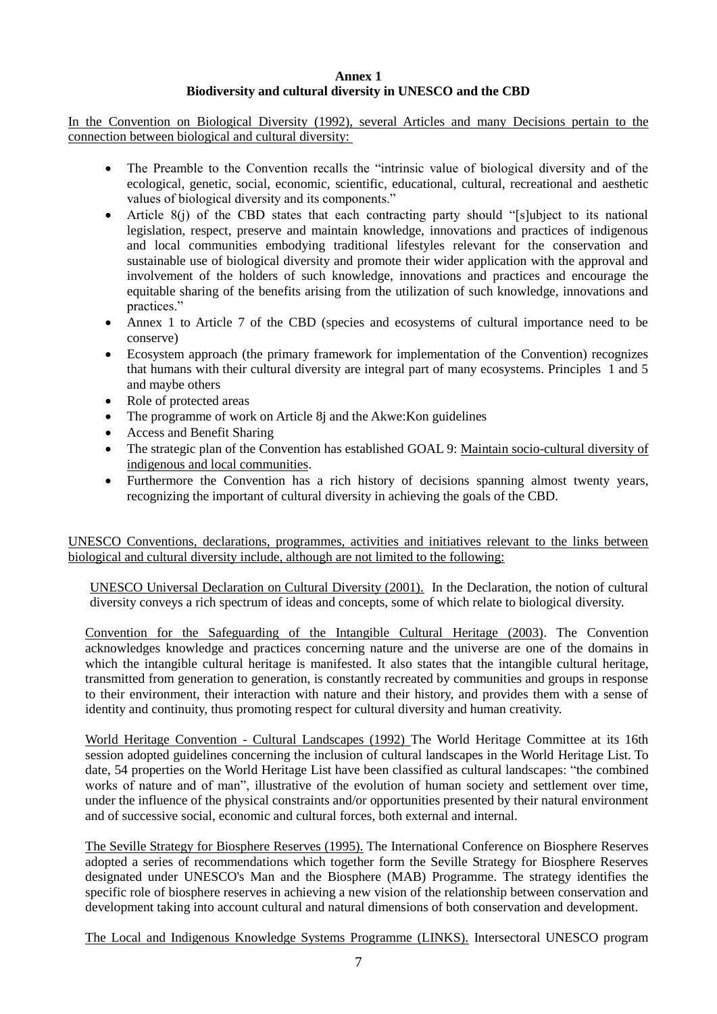#### **Annex 1 Biodiversity and cultural diversity in UNESCO and the CBD**

In the Convention on Biological Diversity (1992), several Articles and many Decisions pertain to the connection between biological and cultural diversity:

- The Preamble to the Convention recalls the "intrinsic value of biological diversity and of the ecological, genetic, social, economic, scientific, educational, cultural, recreational and aesthetic values of biological diversity and its components."
- Article 8(j) of the CBD states that each contracting party should "[s]ubject to its national legislation, respect, preserve and maintain knowledge, innovations and practices of indigenous and local communities embodying traditional lifestyles relevant for the conservation and sustainable use of biological diversity and promote their wider application with the approval and involvement of the holders of such knowledge, innovations and practices and encourage the equitable sharing of the benefits arising from the utilization of such knowledge, innovations and practices."
- Annex 1 to Article 7 of the CBD (species and ecosystems of cultural importance need to be conserve)
- Ecosystem approach (the primary framework for implementation of the Convention) recognizes that humans with their cultural diversity are integral part of many ecosystems. Principles 1 and 5 and maybe others
- Role of protected areas
- The programme of work on Article 8*j* and the Akwe: Kon guidelines
- Access and Benefit Sharing
- The strategic plan of the Convention has established GOAL 9: Maintain socio-cultural diversity of indigenous and local communities.
- Furthermore the Convention has a rich history of decisions spanning almost twenty years, recognizing the important of cultural diversity in achieving the goals of the CBD.

UNESCO Conventions, declarations, programmes, activities and initiatives relevant to the links between biological and cultural diversity include, although are not limited to the following:

UNESCO Universal Declaration on Cultural Diversity (2001). In the Declaration, the notion of cultural diversity conveys a rich spectrum of ideas and concepts, some of which relate to biological diversity.

Convention for the Safeguarding of the Intangible Cultural Heritage (2003). The Convention acknowledges knowledge and practices concerning nature and the universe are one of the domains in which the intangible cultural heritage is manifested. It also states that the intangible cultural heritage, transmitted from generation to generation, is constantly recreated by communities and groups in response to their environment, their interaction with nature and their history, and provides them with a sense of identity and continuity, thus promoting respect for cultural diversity and human creativity.

World Heritage Convention - Cultural Landscapes (1992) The World Heritage Committee at its 16th session adopted guidelines concerning the inclusion of cultural landscapes in the World Heritage List. To date, 54 properties on the World Heritage List have been classified as cultural landscapes: "the combined works of nature and of man", illustrative of the evolution of human society and settlement over time, under the influence of the physical constraints and/or opportunities presented by their natural environment and of successive social, economic and cultural forces, both external and internal.

The Seville Strategy for Biosphere Reserves (1995). The International Conference on Biosphere Reserves adopted a series of recommendations which together form the Seville Strategy for Biosphere Reserves designated under UNESCO's Man and the Biosphere (MAB) Programme. The strategy identifies the specific role of biosphere reserves in achieving a new vision of the relationship between conservation and development taking into account cultural and natural dimensions of both conservation and development.

The Local and Indigenous Knowledge Systems Programme (LINKS). Intersectoral UNESCO program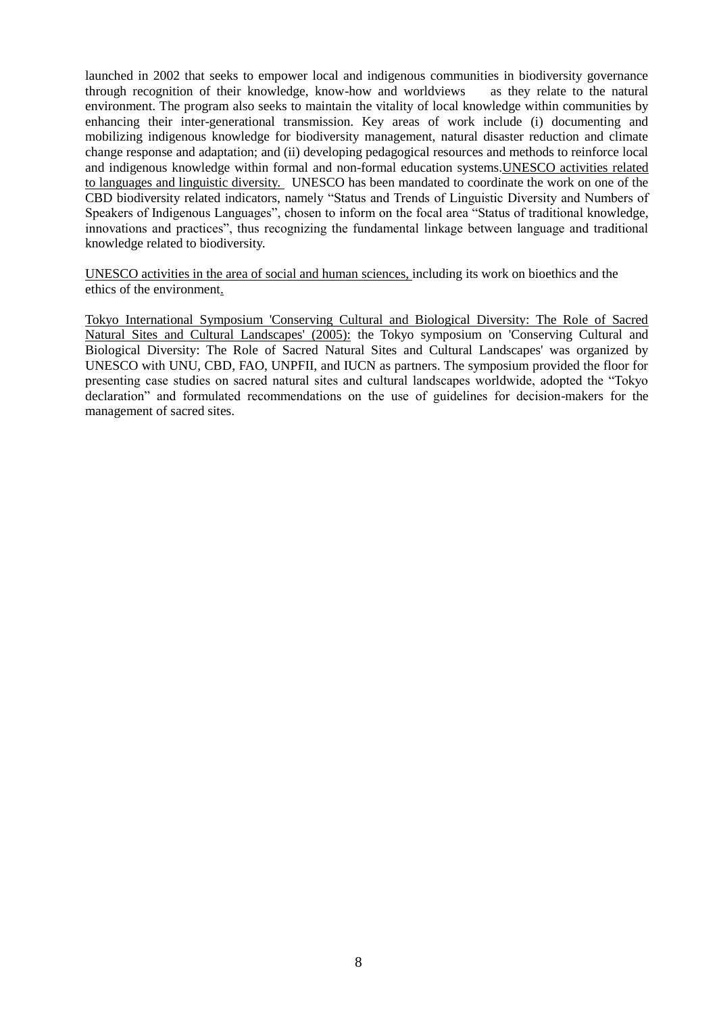launched in 2002 that seeks to empower local and indigenous communities in biodiversity governance through recognition of their knowledge, know-how and worldviews as they relate to the natural environment. The program also seeks to maintain the vitality of local knowledge within communities by enhancing their inter-generational transmission. Key areas of work include (i) documenting and mobilizing indigenous knowledge for biodiversity management, natural disaster reduction and climate change response and adaptation; and (ii) developing pedagogical resources and methods to reinforce local and indigenous knowledge within formal and non-formal education systems.UNESCO activities related to languages and linguistic diversity. UNESCO has been mandated to coordinate the work on one of the CBD biodiversity related indicators, namely "Status and Trends of Linguistic Diversity and Numbers of Speakers of Indigenous Languages", chosen to inform on the focal area "Status of traditional knowledge, innovations and practices", thus recognizing the fundamental linkage between language and traditional knowledge related to biodiversity.

UNESCO activities in the area of social and human sciences, including its work on bioethics and the ethics of the environment.

Tokyo International Symposium 'Conserving Cultural and Biological Diversity: The Role of Sacred Natural Sites and Cultural Landscapes' (2005): the Tokyo symposium on 'Conserving Cultural and Biological Diversity: The Role of Sacred Natural Sites and Cultural Landscapes' was organized by UNESCO with UNU, CBD, FAO, UNPFII, and IUCN as partners. The symposium provided the floor for presenting case studies on sacred natural sites and cultural landscapes worldwide, adopted the "Tokyo declaration" and formulated recommendations on the use of guidelines for decision-makers for the management of sacred sites.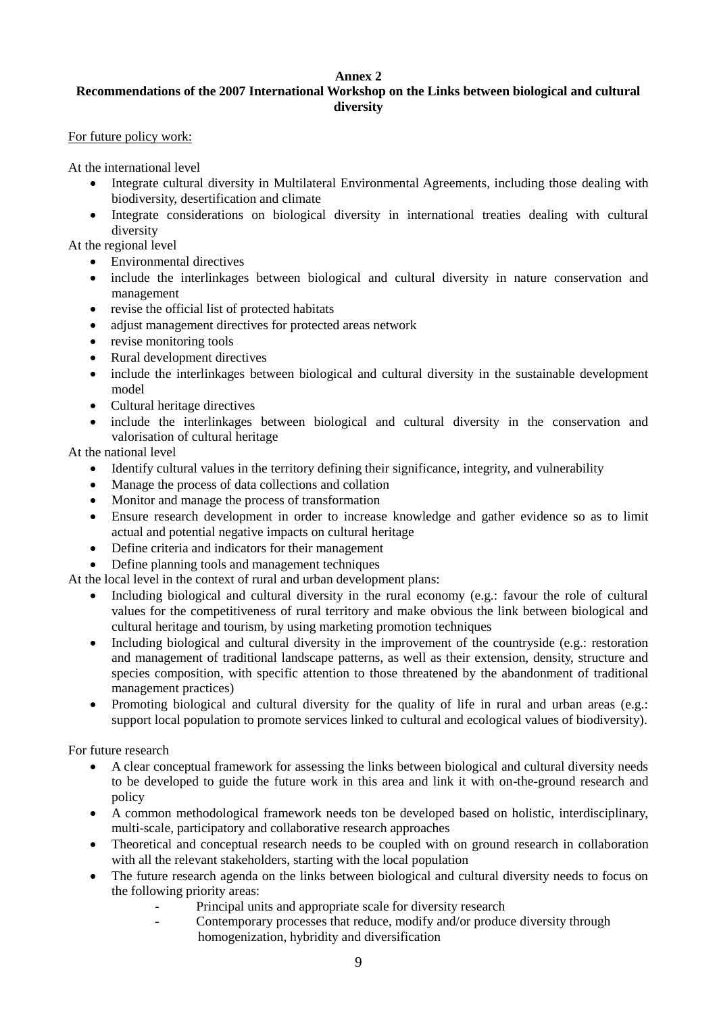## **Annex 2**

# **Recommendations of the 2007 International Workshop on the Links between biological and cultural diversity**

### For future policy work:

At the international level

- Integrate cultural diversity in Multilateral Environmental Agreements, including those dealing with biodiversity, desertification and climate
- Integrate considerations on biological diversity in international treaties dealing with cultural diversity

At the regional level

- Environmental directives
- include the interlinkages between biological and cultural diversity in nature conservation and management
- revise the official list of protected habitats
- adjust management directives for protected areas network
- revise monitoring tools
- Rural development directives
- include the interlinkages between biological and cultural diversity in the sustainable development model
- Cultural heritage directives
- include the interlinkages between biological and cultural diversity in the conservation and valorisation of cultural heritage

At the national level

- Identify cultural values in the territory defining their significance, integrity, and vulnerability
- Manage the process of data collections and collation
- Monitor and manage the process of transformation
- Ensure research development in order to increase knowledge and gather evidence so as to limit actual and potential negative impacts on cultural heritage
- Define criteria and indicators for their management
- Define planning tools and management techniques

At the local level in the context of rural and urban development plans:

- Including biological and cultural diversity in the rural economy (e.g.: favour the role of cultural values for the competitiveness of rural territory and make obvious the link between biological and cultural heritage and tourism, by using marketing promotion techniques
- Including biological and cultural diversity in the improvement of the countryside (e.g.: restoration and management of traditional landscape patterns, as well as their extension, density, structure and species composition, with specific attention to those threatened by the abandonment of traditional management practices)
- Promoting biological and cultural diversity for the quality of life in rural and urban areas (e.g.: support local population to promote services linked to cultural and ecological values of biodiversity).

For future research

- A clear conceptual framework for assessing the links between biological and cultural diversity needs to be developed to guide the future work in this area and link it with on-the-ground research and policy
- A common methodological framework needs ton be developed based on holistic, interdisciplinary, multi-scale, participatory and collaborative research approaches
- Theoretical and conceptual research needs to be coupled with on ground research in collaboration with all the relevant stakeholders, starting with the local population
- The future research agenda on the links between biological and cultural diversity needs to focus on the following priority areas:
	- Principal units and appropriate scale for diversity research
	- Contemporary processes that reduce, modify and/or produce diversity through homogenization, hybridity and diversification